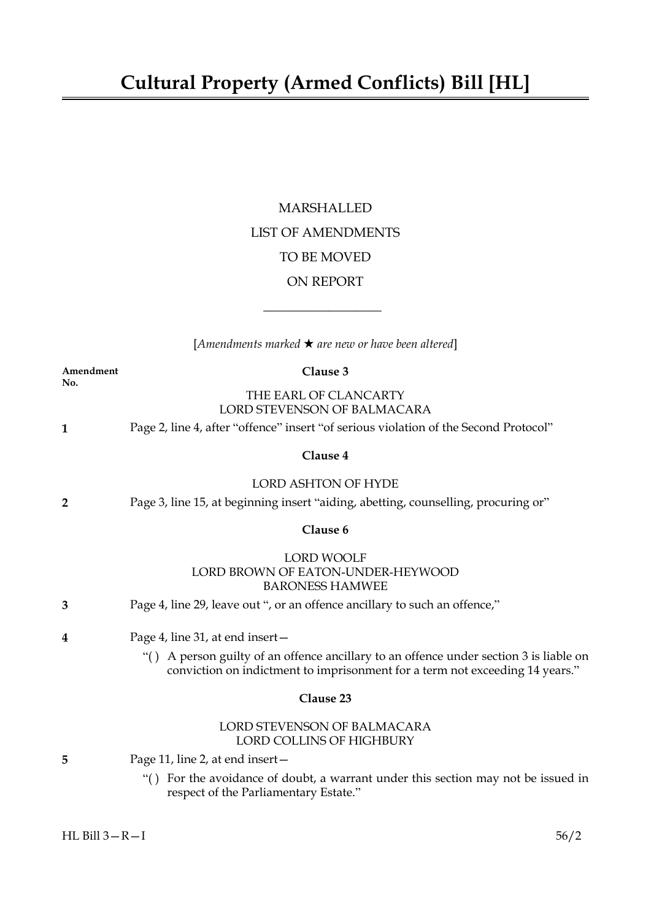## MARSHALLED LIST OF AMENDMENTS TO BE MOVED ON REPORT

[*Amendments marked* \* *are new or have been altered*]

 $\overline{\phantom{a}}$  , where  $\overline{\phantom{a}}$ 

| Amendment<br>No. | Clause 3                                                                                                                                                               |
|------------------|------------------------------------------------------------------------------------------------------------------------------------------------------------------------|
|                  | THE EARL OF CLANCARTY<br>LORD STEVENSON OF BALMACARA                                                                                                                   |
| 1                | Page 2, line 4, after "offence" insert "of serious violation of the Second Protocol"                                                                                   |
|                  | Clause 4                                                                                                                                                               |
|                  | <b>LORD ASHTON OF HYDE</b>                                                                                                                                             |
| 2                | Page 3, line 15, at beginning insert "aiding, abetting, counselling, procuring or"                                                                                     |
|                  | Clause 6                                                                                                                                                               |
|                  | <b>LORD WOOLF</b><br>LORD BROWN OF EATON-UNDER-HEYWOOD<br><b>BARONESS HAMWEE</b>                                                                                       |
| 3                | Page 4, line 29, leave out ", or an offence ancillary to such an offence,"                                                                                             |
| 4                | Page 4, line 31, at end insert-                                                                                                                                        |
|                  | "() A person guilty of an offence ancillary to an offence under section 3 is liable on<br>conviction on indictment to imprisonment for a term not exceeding 14 years." |
|                  | Clause 23                                                                                                                                                              |
|                  | LORD STEVENSON OF BALMACARA<br><b>LORD COLLINS OF HIGHBURY</b>                                                                                                         |
| 5                | Page 11, line 2, at end insert –                                                                                                                                       |
|                  | "() For the avoidance of doubt, a warrant under this section may not be issued in<br>respect of the Parliamentary Estate."                                             |
|                  |                                                                                                                                                                        |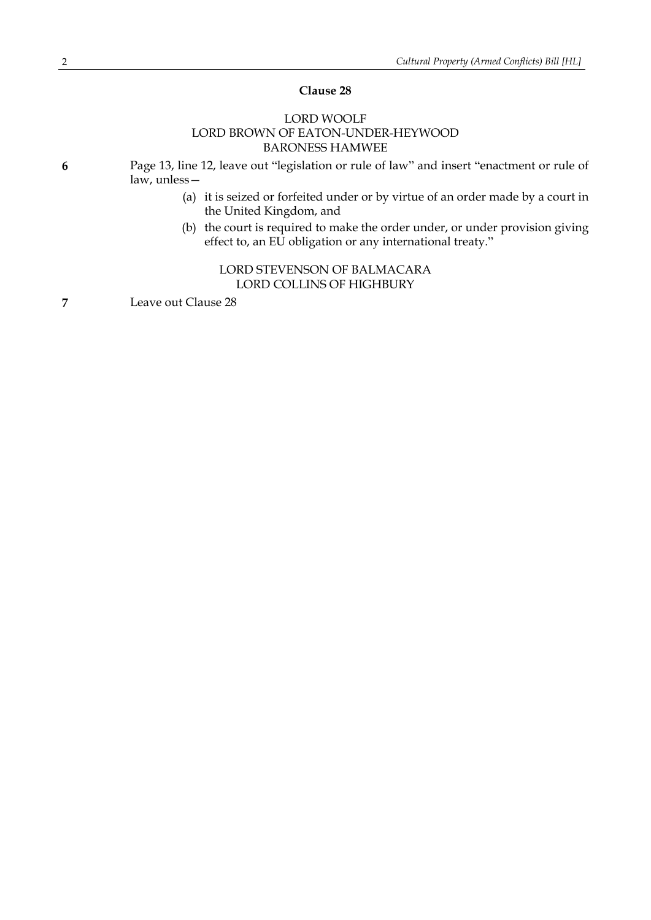## **Clause 28**

## LORD WOOLF LORD BROWN OF EATON-UNDER-HEYWOOD BARONESS HAMWEE

**6** Page 13, line 12, leave out "legislation or rule of law" and insert "enactment or rule of law, unless—

- (a) it is seized or forfeited under or by virtue of an order made by a court in the United Kingdom, and
- (b) the court is required to make the order under, or under provision giving effect to, an EU obligation or any international treaty."

## LORD STEVENSON OF BALMACARA LORD COLLINS OF HIGHBURY

**7** Leave out Clause 28